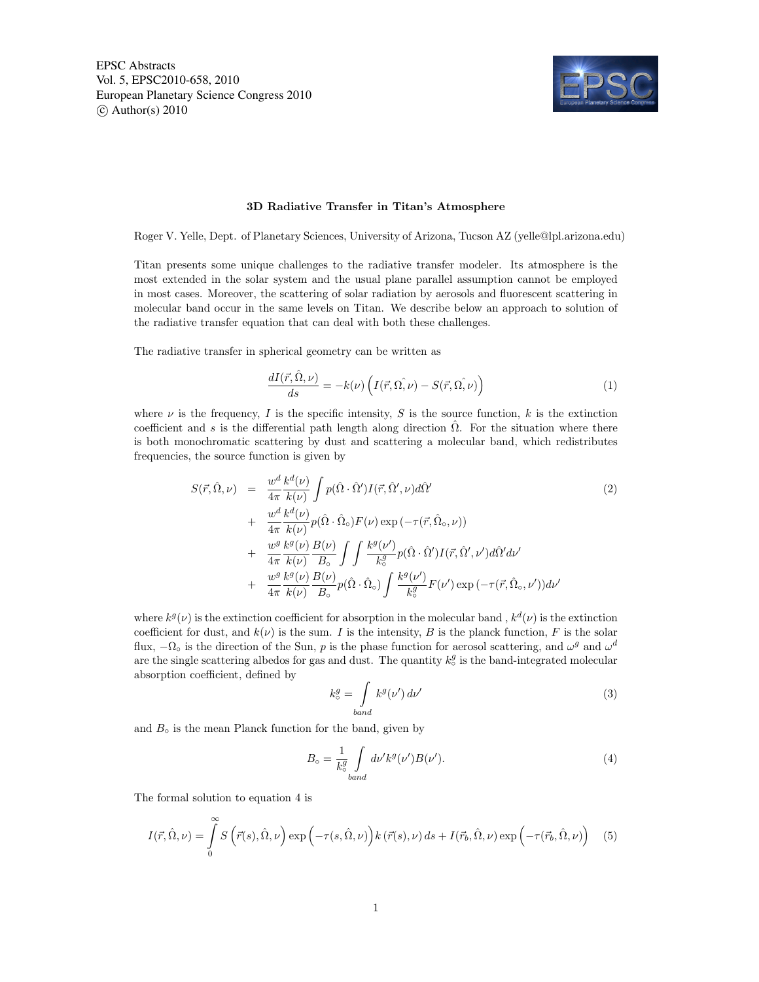EPSC Abstracts Vol. 5, EPSC2010-658, 2010 European Planetary Science Congress 2010  $\circ$  Author(s) 2010



## 3D Radiative Transfer in Titan's Atmosphere

Roger V. Yelle, Dept. of Planetary Sciences, University of Arizona, Tucson AZ (yelle@lpl.arizona.edu)

Titan presents some unique challenges to the radiative transfer modeler. Its atmosphere is the most extended in the solar system and the usual plane parallel assumption cannot be employed in most cases. Moreover, the scattering of solar radiation by aerosols and fluorescent scattering in molecular band occur in the same levels on Titan. We describe below an approach to solution of the radiative transfer equation that can deal with both these challenges.

The radiative transfer in spherical geometry can be written as

$$
\frac{dI(\vec{r}, \hat{\Omega}, \nu)}{ds} = -k(\nu) \left( I(\vec{r}, \hat{\Omega, \nu}) - S(\vec{r}, \hat{\Omega, \nu}) \right) \tag{1}
$$

where  $\nu$  is the frequency, I is the specific intensity, S is the source function, k is the extinction coefficient and s is the differential path length along direction  $\Omega$ . For the situation where there is both monochromatic scattering by dust and scattering a molecular band, which redistributes frequencies, the source function is given by

$$
S(\vec{r}, \hat{\Omega}, \nu) = \frac{w^d}{4\pi} \frac{k^d(\nu)}{k(\nu)} \int p(\hat{\Omega} \cdot \hat{\Omega}') I(\vec{r}, \hat{\Omega}', \nu) d\hat{\Omega}' + \frac{w^d}{4\pi} \frac{k^d(\nu)}{k(\nu)} p(\hat{\Omega} \cdot \hat{\Omega}_\circ) F(\nu) \exp(-\tau(\vec{r}, \hat{\Omega}_\circ, \nu)) + \frac{w^g}{4\pi} \frac{k^g(\nu)}{k(\nu)} \frac{B(\nu)}{B_\circ} \int \int \frac{k^g(\nu')}{k^g} p(\hat{\Omega} \cdot \hat{\Omega}') I(\vec{r}, \hat{\Omega}', \nu') d\hat{\Omega}' d\nu' + \frac{w^g}{4\pi} \frac{k^g(\nu)}{k(\nu)} \frac{B(\nu)}{B_\circ} p(\hat{\Omega} \cdot \hat{\Omega}_\circ) \int \frac{k^g(\nu')}{k^g} F(\nu') \exp(-\tau(\vec{r}, \hat{\Omega}_\circ, \nu')) d\nu'
$$
(2)

where  $k^g(\nu)$  is the extinction coefficient for absorption in the molecular band,  $k^d(\nu)$  is the extinction coefficient for dust, and  $k(\nu)$  is the sum. I is the intensity, B is the planck function, F is the solar flux,  $-\Omega_{\circ}$  is the direction of the Sun, p is the phase function for aerosol scattering, and  $\omega^{g}$  and  $\omega^{d}$ are the single scattering albedos for gas and dust. The quantity  $k_o^g$  is the band-integrated molecular absorption coefficient, defined by

$$
k_o^g = \int\limits_{band} k^g(\nu') d\nu' \tag{3}
$$

and  $B<sub>o</sub>$  is the mean Planck function for the band, given by

$$
B_{\circ} = \frac{1}{k_{\circ}^{g}} \int_{band} d\nu' k^{g} (\nu') B(\nu'). \tag{4}
$$

The formal solution to equation 4 is

$$
I(\vec{r}, \hat{\Omega}, \nu) = \int_{0}^{\infty} S(\vec{r}(s), \hat{\Omega}, \nu) \exp\left(-\tau(s, \hat{\Omega}, \nu)\right) k(\vec{r}(s), \nu) ds + I(\vec{r}_b, \hat{\Omega}, \nu) \exp\left(-\tau(\vec{r}_b, \hat{\Omega}, \nu)\right) \tag{5}
$$